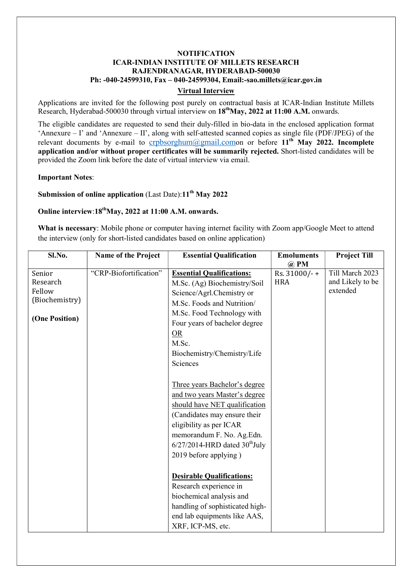## **NOTIFICATION** ICAR-INDIAN INSTITUTE OF MILLETS RESEARCH RAJENDRANAGAR, HYDERABAD-500030 Ph: -040-24599310, Fax – 040-24599304, Email:-sao.millets@icar.gov.in

#### Virtual Interview

Applications are invited for the following post purely on contractual basis at ICAR-Indian Institute Millets Research, Hyderabad-500030 through virtual interview on 18<sup>th</sup>May, 2022 at 11:00 A.M. onwards.

The eligible candidates are requested to send their duly-filled in bio-data in the enclosed application format 'Annexure – I' and 'Annexure – II', along with self-attested scanned copies as single file (PDF/JPEG) of the relevant documents by e-mail to crpbsorghum@gmail.comon or before  $11<sup>th</sup>$  May 2022. Incomplete application and/or without proper certificates will be summarily rejected. Short-listed candidates will be provided the Zoom link before the date of virtual interview via email.

Important Notes:

Submission of online application (Last Date): $11<sup>th</sup>$  May 2022

# Online interview: $18^{th}$ May, 2022 at 11:00 A.M. onwards.

What is necessary: Mobile phone or computer having internet facility with Zoom app/Google Meet to attend the interview (only for short-listed candidates based on online application)

| Sl.No.         | Name of the Project    | <b>Essential Qualification</b>               | <b>Emoluments</b><br>$\omega$ PM | <b>Project Till</b> |
|----------------|------------------------|----------------------------------------------|----------------------------------|---------------------|
| Senior         | "CRP-Biofortification" | <b>Essential Qualifications:</b>             | Rs. 31000/-+                     | Till March 2023     |
| Research       |                        | M.Sc. (Ag) Biochemistry/Soil                 | <b>HRA</b>                       | and Likely to be    |
| Fellow         |                        | Science/Agrl.Chemistry or                    |                                  | extended            |
| (Biochemistry) |                        | M.Sc. Foods and Nutrition/                   |                                  |                     |
|                |                        | M.Sc. Food Technology with                   |                                  |                     |
| (One Position) |                        | Four years of bachelor degree                |                                  |                     |
|                |                        | OR                                           |                                  |                     |
|                |                        | M.Sc.                                        |                                  |                     |
|                |                        | Biochemistry/Chemistry/Life                  |                                  |                     |
|                |                        | Sciences                                     |                                  |                     |
|                |                        |                                              |                                  |                     |
|                |                        | Three years Bachelor's degree                |                                  |                     |
|                |                        | and two years Master's degree                |                                  |                     |
|                |                        | should have NET qualification                |                                  |                     |
|                |                        | (Candidates may ensure their                 |                                  |                     |
|                |                        | eligibility as per ICAR                      |                                  |                     |
|                |                        | memorandum F. No. Ag.Edn.                    |                                  |                     |
|                |                        | $6/27/2014$ -HRD dated $30^{\text{th}}$ July |                                  |                     |
|                |                        | 2019 before applying)                        |                                  |                     |
|                |                        |                                              |                                  |                     |
|                |                        | <b>Desirable Qualifications:</b>             |                                  |                     |
|                |                        | Research experience in                       |                                  |                     |
|                |                        | biochemical analysis and                     |                                  |                     |
|                |                        | handling of sophisticated high-              |                                  |                     |
|                |                        | end lab equipments like AAS,                 |                                  |                     |
|                |                        | XRF, ICP-MS, etc.                            |                                  |                     |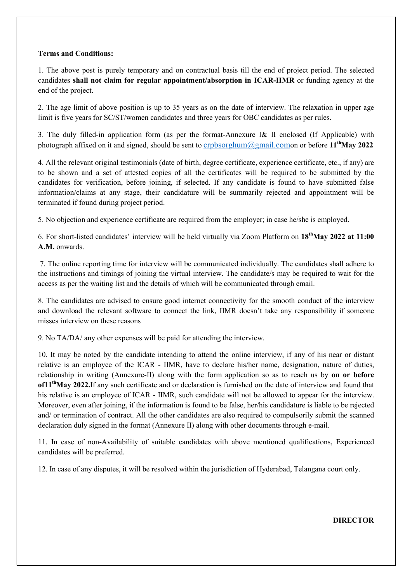#### Terms and Conditions:

1. The above post is purely temporary and on contractual basis till the end of project period. The selected candidates shall not claim for regular appointment/absorption in ICAR-IIMR or funding agency at the end of the project.

2. The age limit of above position is up to 35 years as on the date of interview. The relaxation in upper age limit is five years for SC/ST/women candidates and three years for OBC candidates as per rules.

3. The duly filled-in application form (as per the format-Annexure I& II enclosed (If Applicable) with photograph affixed on it and signed, should be sent to crpbsorghum@gmail.comon or before  $11^{th}$ May 2022

4. All the relevant original testimonials (date of birth, degree certificate, experience certificate, etc., if any) are to be shown and a set of attested copies of all the certificates will be required to be submitted by the candidates for verification, before joining, if selected. If any candidate is found to have submitted false information/claims at any stage, their candidature will be summarily rejected and appointment will be terminated if found during project period.

5. No objection and experience certificate are required from the employer; in case he/she is employed.

6. For short-listed candidates' interview will be held virtually via Zoom Platform on  $18^{th}$ May 2022 at 11:00 A.M. onwards.

 7. The online reporting time for interview will be communicated individually. The candidates shall adhere to the instructions and timings of joining the virtual interview. The candidate/s may be required to wait for the access as per the waiting list and the details of which will be communicated through email.

8. The candidates are advised to ensure good internet connectivity for the smooth conduct of the interview and download the relevant software to connect the link, IIMR doesn't take any responsibility if someone misses interview on these reasons

9. No TA/DA/ any other expenses will be paid for attending the interview.

10. It may be noted by the candidate intending to attend the online interview, if any of his near or distant relative is an employee of the ICAR - IIMR, have to declare his/her name, designation, nature of duties, relationship in writing (Annexure-II) along with the form application so as to reach us by on or before of 11<sup>th</sup>May 2022.If any such certificate and or declaration is furnished on the date of interview and found that his relative is an employee of ICAR - IIMR, such candidate will not be allowed to appear for the interview. Moreover, even after joining, if the information is found to be false, her/his candidature is liable to be rejected and/ or termination of contract. All the other candidates are also required to compulsorily submit the scanned declaration duly signed in the format (Annexure II) along with other documents through e-mail.

11. In case of non-Availability of suitable candidates with above mentioned qualifications, Experienced candidates will be preferred.

12. In case of any disputes, it will be resolved within the jurisdiction of Hyderabad, Telangana court only.

#### **DIRECTOR**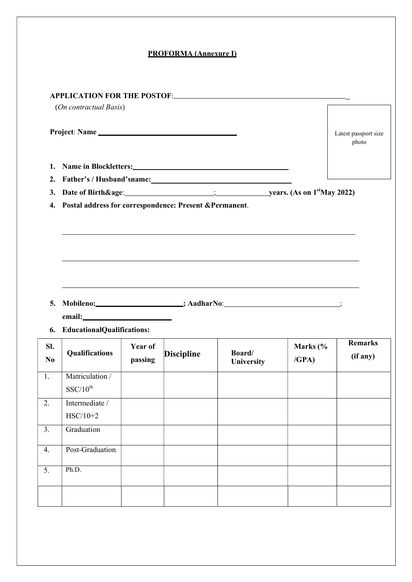### PROFORMA (Annexure I)

|                       | (On contractual Basis)            |                    |                   |                                                                                                                                                                                                                                |                              |                               |
|-----------------------|-----------------------------------|--------------------|-------------------|--------------------------------------------------------------------------------------------------------------------------------------------------------------------------------------------------------------------------------|------------------------------|-------------------------------|
|                       |                                   |                    |                   |                                                                                                                                                                                                                                |                              |                               |
|                       | Project: Name                     |                    |                   |                                                                                                                                                                                                                                |                              | Latest passport size<br>photo |
| 1.                    |                                   |                    |                   | Name in Blockletters: Name is a series of the series of the series of the series of the series of the series of the series of the series of the series of the series of the series of the series of the series of the series o |                              |                               |
| 2.                    |                                   |                    |                   |                                                                                                                                                                                                                                |                              |                               |
| 3.                    |                                   |                    |                   |                                                                                                                                                                                                                                |                              |                               |
|                       |                                   |                    |                   |                                                                                                                                                                                                                                |                              |                               |
| 5.<br>6.              | <b>EducationalQualifications:</b> |                    |                   | Mobileno: ___________________; AadharNo: ______________________;                                                                                                                                                               |                              |                               |
| SI.<br>N <sub>0</sub> | Qualifications                    | Year of<br>passing | <b>Discipline</b> | Board/<br>University                                                                                                                                                                                                           | Marks $\frac{6}{6}$<br>/GPA) | <b>Remarks</b><br>(if any)    |
| 1.                    | Matriculation /<br>$SSC/10^{th}$  |                    |                   |                                                                                                                                                                                                                                |                              |                               |
| 2.                    | Intermediate /<br>$HSC/10+2$      |                    |                   |                                                                                                                                                                                                                                |                              |                               |
| $\overline{3}$ .      | Graduation                        |                    |                   |                                                                                                                                                                                                                                |                              |                               |
| 4.                    | Post-Graduation                   |                    |                   |                                                                                                                                                                                                                                |                              |                               |
| $\overline{5}$ .      | Ph.D.                             |                    |                   |                                                                                                                                                                                                                                |                              |                               |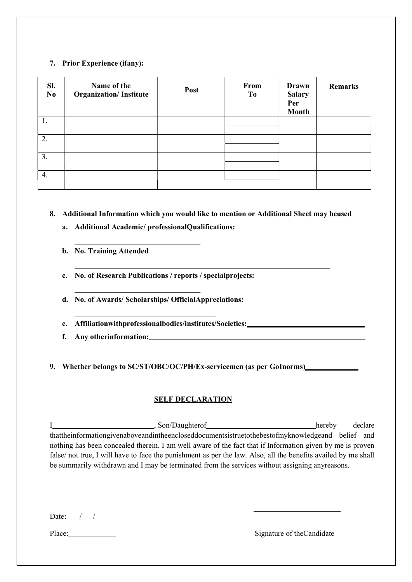### 7. Prior Experience (ifany):

| SI.<br>No. | Name of the<br><b>Organization/Institute</b> | Post | From<br>To | Drawn<br><b>Salary</b><br>Per<br><b>Month</b> | <b>Remarks</b> |
|------------|----------------------------------------------|------|------------|-----------------------------------------------|----------------|
| 1.         |                                              |      |            |                                               |                |
| 2.         |                                              |      |            |                                               |                |
| 3.         |                                              |      |            |                                               |                |
| 4.         |                                              |      |            |                                               |                |

8. Additional Information which you would like to mention or Additional Sheet may beused

- a. Additional Academic/ professionalQualifications:
- b. No. Training Attended
- c. No. of Research Publications / reports / specialprojects:
- d. No. of Awards/ Scholarships/ OfficialAppreciations:
- e. Affiliationwithprofessionalbodies/institutes/Societies:
- f. Any otherinformation:

# 9. Whether belongs to SC/ST/OBC/OC/PH/Ex-servicemen (as per GoInorms)

# SELF DECLARATION

I hereby declare som/Daughterof hereby declare thattheinformationgivenaboveandintheencloseddocumentsistruetothebestofmyknowledgeand belief and nothing has been concealed therein. I am well aware of the fact that if Information given by me is proven false/ not true, I will have to face the punishment as per the law. Also, all the benefits availed by me shall be summarily withdrawn and I may be terminated from the services without assigning anyreasons.

Date:  $/$  /

Place: Signature of the Candidate